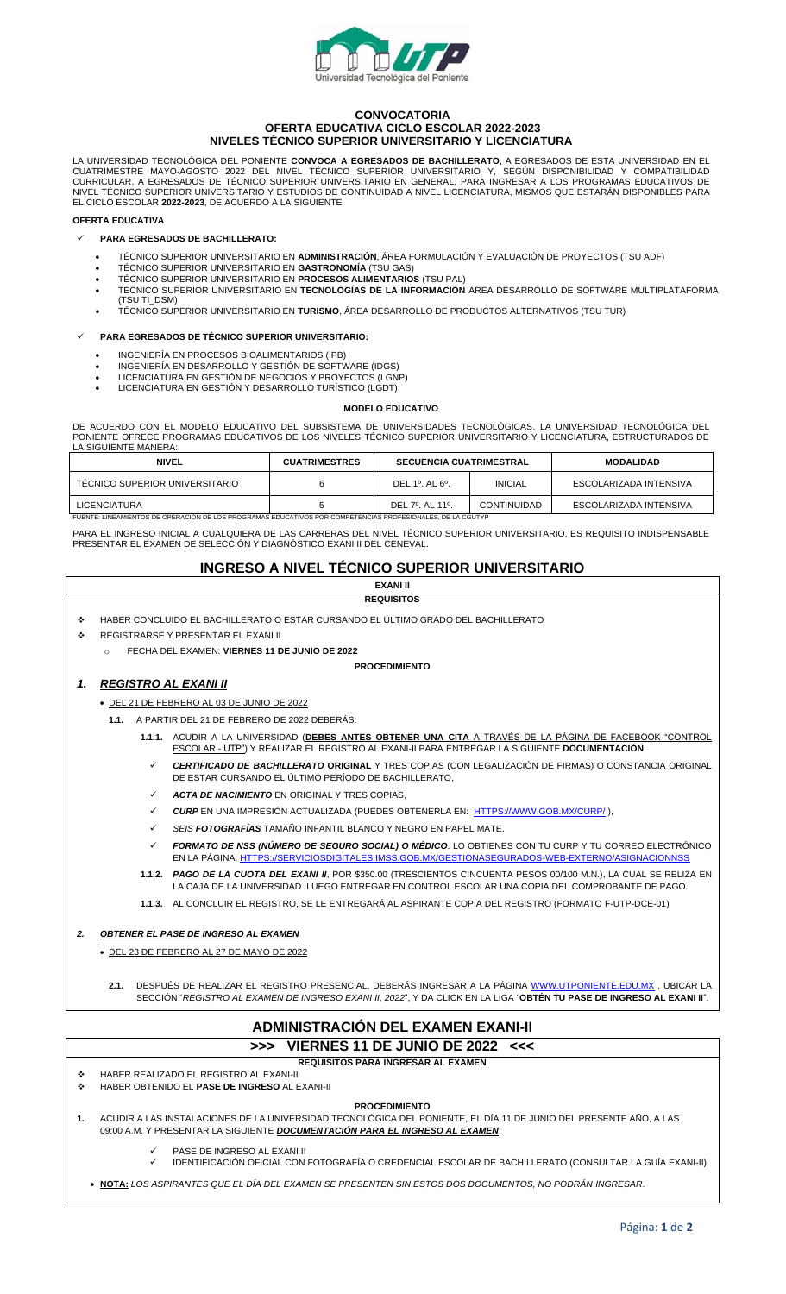

### **CONVOCATORIA OFERTA EDUCATIVA CICLO ESCOLAR 2022-2023 NIVELES TÉCNICO SUPERIOR UNIVERSITARIO Y LICENCIATURA**

LA UNIVERSIDAD TECNOLÓGICA DEL PONIENTE **CONVOCA A EGRESADOS DE BACHILLERATO**, A EGRESADOS DE ESTA UNIVERSIDAD EN EL CUATRIMESTRE MAYO-AGOSTO 2022 DEL NIVEL TÉCNICO SUPERIOR UNIVERSITARIO Y, SEGÚN DISPONIBILIDAD Y COMPATIBILIDAD CURRICULAR, A EGRESADOS DE TÉCNICO SUPERIOR UNIVERSITARIO EN GENERAL, PARA INGRESAR A LOS PROGRAMAS EDUCATIVOS DE NIVEL TÉCNICO SUPERIOR UNIVERSITARIO Y ESTUDIOS DE CONTINUIDAD A NIVEL LICENCIATURA, MISMOS QUE ESTARÁN DISPONIBLES PARA EL CICLO ESCOLAR **2022-2023**, DE ACUERDO A LA SIGUIENTE

#### **OFERTA EDUCATIVA**

### ✓ **PARA EGRESADOS DE BACHILLERATO:**

- TÉCNICO SUPERIOR UNIVERSITARIO EN **ADMINISTRACIÓN**, ÁREA FORMULACIÓN Y EVALUACIÓN DE PROYECTOS (TSU ADF)
- TÉCNICO SUPERIOR UNIVERSITARIO EN **GASTRONOMÍA** (TSU GAS)
- TÉCNICO SUPERIOR UNIVERSITARIO EN **PROCESOS ALIMENTARIOS** (TSU PAL)
- TÉCNICO SUPERIOR UNIVERSITARIO EN **TECNOLOGÍAS DE LA INFORMACIÓN** ÁREA DESARROLLO DE SOFTWARE MULTIPLATAFORMA (TSU TI\_DSM)
- TÉCNICO SUPERIOR UNIVERSITARIO EN **TURISMO**, ÁREA DESARROLLO DE PRODUCTOS ALTERNATIVOS (TSU TUR)

### ✓ **PARA EGRESADOS DE TÉCNICO SUPERIOR UNIVERSITARIO:**

- INGENIERÍA EN PROCESOS BIOALIMENTARIOS (IPB)
- INGENIERÍA EN DESARROLLO Y GESTIÓN DE SOFTWARE (IDGS)
- LICENCIATURA EN GESTIÓN DE NEGOCIOS Y PROYECTOS (LGNP)
- LICENCIATURA EN GESTIÓN Y DESARROLLO TURÍSTICO (LGDT)

#### **MODELO EDUCATIVO**

DE ACUERDO CON EL MODELO EDUCATIVO DEL SUBSISTEMA DE UNIVERSIDADES TECNOLÓGICAS, LA UNIVERSIDAD TECNOLÓGICA DEL PONIENTE OFRECE PROGRAMAS EDUCATIVOS DE LOS NIVELES TÉCNICO SUPERIOR UNIVERSITARIO Y LICENCIATURA, ESTRUCTURADOS DE LA SIGUIENTE MANERA:

| <b>NIVEL</b>                                                                                               | <b>CUATRIMESTRES</b> | <b>SECUENCIA CUATRIMESTRAL</b> |                | <b>MODALIDAD</b>       |  |
|------------------------------------------------------------------------------------------------------------|----------------------|--------------------------------|----------------|------------------------|--|
| TÉCNICO SUPERIOR UNIVERSITARIO                                                                             | n                    | DEL $1^\circ$ . AL $6^\circ$ . | <b>INICIAL</b> | ESCOLARIZADA INTENSIVA |  |
| <b>LICENCIATURA</b>                                                                                        |                      | DEL 7º. AL 11º.                | CONTINUIDAD    | ESCOLARIZADA INTENSIVA |  |
| FUENTE: LINEAMIENTOS DE OPERACIÓN DE LOS PROGRAMAS EDUCATIVOS POR COMPETENCIAS PROFESIONALES. DE LA CGUTYP |                      |                                |                |                        |  |

PARA EL INGRESO INICIAL A CUALQUIERA DE LAS CARRERAS DEL NIVEL TÉCNICO SUPERIOR UNIVERSITARIO, ES REQUISITO INDISPENSABLE PRESENTAR EL EXAMEN DE SELECCIÓN Y DIAGNÓSTICO EXANI II DEL CENEVAL.

## **INGRESO A NIVEL TÉCNICO SUPERIOR UNIVERSITARIO EXANI II**

|                                     |                                                                                          | <b>REQUISITOS</b>                                                                                                                                                                                                                        |  |  |  |  |  |
|-------------------------------------|------------------------------------------------------------------------------------------|------------------------------------------------------------------------------------------------------------------------------------------------------------------------------------------------------------------------------------------|--|--|--|--|--|
| ٠                                   | HABER CONCLUIDO EL BACHILLERATO O ESTAR CURSANDO EL ÚLTIMO GRADO DEL BACHILLERATO        |                                                                                                                                                                                                                                          |  |  |  |  |  |
| ٠                                   | REGISTRARSE Y PRESENTAR EL EXANI II                                                      |                                                                                                                                                                                                                                          |  |  |  |  |  |
|                                     | $\circ$                                                                                  | FECHA DEL EXAMEN: VIERNES 11 DE JUNIO DE 2022                                                                                                                                                                                            |  |  |  |  |  |
|                                     |                                                                                          | <b>PROCEDIMIENTO</b>                                                                                                                                                                                                                     |  |  |  |  |  |
| 1.                                  | <b>REGISTRO AL EXANI II</b>                                                              |                                                                                                                                                                                                                                          |  |  |  |  |  |
|                                     | • DEL 21 DE FEBRERO AL 03 DE JUNIO DE 2022                                               |                                                                                                                                                                                                                                          |  |  |  |  |  |
|                                     | 1.1. A PARTIR DEL 21 DE FEBRERO DE 2022 DEBERÁS:                                         |                                                                                                                                                                                                                                          |  |  |  |  |  |
|                                     |                                                                                          | 1.1.1. ACUDIR A LA UNIVERSIDAD (DEBES ANTES OBTENER UNA CITA A TRAVÉS DE LA PÁGINA DE FACEBOOK "CONTROL<br>ESCOLAR - UTP") Y REALIZAR EL REGISTRO AL EXANI-II PARA ENTREGAR LA SIGUIENTE DOCUMENTACIÓN:                                  |  |  |  |  |  |
|                                     | ✓                                                                                        | <b>CERTIFICADO DE BACHILLERATO ORIGINAL</b> Y TRES COPIAS (CON LEGALIZACIÓN DE FIRMAS) O CONSTANCIA ORIGINAL<br>DE ESTAR CURSANDO EL ÚLTIMO PERÍODO DE BACHILLERATO.                                                                     |  |  |  |  |  |
|                                     | ✓                                                                                        | <b>ACTA DE NACIMIENTO EN ORIGINAL Y TRES COPIAS.</b>                                                                                                                                                                                     |  |  |  |  |  |
|                                     | ✓                                                                                        | <b>CURP</b> EN UNA IMPRESIÓN ACTUALIZADA (PUEDES OBTENERLA EN: HTTPS://WWW.GOB.MX/CURP/).                                                                                                                                                |  |  |  |  |  |
|                                     | ✓                                                                                        | SEIS FOTOGRAFÍAS TAMAÑO INFANTIL BLANCO Y NEGRO EN PAPEL MATE.                                                                                                                                                                           |  |  |  |  |  |
|                                     | ✓                                                                                        | FORMATO DE NSS (NÚMERO DE SEGURO SOCIAL) O MÉDICO. LO OBTIENES CON TU CURP Y TU CORREO ELECTRÓNICO<br>EN LA PÁGINA: HTTPS://SERVICIOSDIGITALES.IMSS.GOB.MX/GESTIONASEGURADOS-WEB-EXTERNO/ASIGNACIONNSS                                   |  |  |  |  |  |
|                                     |                                                                                          | 1.1.2. PAGO DE LA CUOTA DEL EXANI II, POR \$350.00 (TRESCIENTOS CINCUENTA PESOS 00/100 M.N.), LA CUAL SE RELIZA EN<br>LA CAJA DE LA UNIVERSIDAD. LUEGO ENTREGAR EN CONTROL ESCOLAR UNA COPIA DEL COMPROBANTE DE PAGO.                    |  |  |  |  |  |
|                                     |                                                                                          | 1.1.3. AL CONCLUIR EL REGISTRO, SE LE ENTREGARÁ AL ASPIRANTE COPIA DEL REGISTRO (FORMATO F-UTP-DCE-01)                                                                                                                                   |  |  |  |  |  |
| 2.                                  | <b>OBTENER EL PASE DE INGRESO AL EXAMEN</b>                                              |                                                                                                                                                                                                                                          |  |  |  |  |  |
|                                     | • DEL 23 DE FEBRERO AL 27 DE MAYO DE 2022                                                |                                                                                                                                                                                                                                          |  |  |  |  |  |
|                                     |                                                                                          |                                                                                                                                                                                                                                          |  |  |  |  |  |
|                                     |                                                                                          | 2.1. DESPUÉS DE REALIZAR EL REGISTRO PRESENCIAL, DEBERÁS INGRESAR A LA PÁGINA WWW.UTPONIENTE.EDU.MX , UBICAR LA<br>SECCIÓN "REGISTRO AL EXAMEN DE INGRESO EXANI II, 2022", Y DA CLICK EN LA LIGA "OBTÉN TU PASE DE INGRESO AL EXANI II". |  |  |  |  |  |
| ADMINISTRACIÓN DEL EXAMEN EXANI-II  |                                                                                          |                                                                                                                                                                                                                                          |  |  |  |  |  |
| >>> VIERNES 11 DE JUNIO DE 2022 <<< |                                                                                          |                                                                                                                                                                                                                                          |  |  |  |  |  |
|                                     |                                                                                          | <b>REQUISITOS PARA INGRESAR AL EXAMEN</b>                                                                                                                                                                                                |  |  |  |  |  |
| ٠<br>٠                              | HABER REALIZADO EL REGISTRO AL EXANI-II<br>HABER OBTENIDO EL PASE DE INGRESO AL EXANI-II |                                                                                                                                                                                                                                          |  |  |  |  |  |
| <b>PROCEDIMIENTO</b>                |                                                                                          |                                                                                                                                                                                                                                          |  |  |  |  |  |
| 1.                                  |                                                                                          | ACUDIR A LAS INSTALACIONES DE LA UNIVERSIDAD TECNOLÓGICA DEL PONIENTE, EL DÍA 11 DE JUNIO DEL PRESENTE AÑO, A LAS<br>09:00 A.M. Y PRESENTAR LA SIGUIENTE DOCUMENTACIÓN PARA EL INGRESO AL EXAMEN:                                        |  |  |  |  |  |
|                                     | ✓                                                                                        | PASE DE INGRESO AL EXANI II                                                                                                                                                                                                              |  |  |  |  |  |

✓ IDENTIFICACIÓN OFICIAL CON FOTOGRAFÍA O CREDENCIAL ESCOLAR DE BACHILLERATO (CONSULTAR LA GUÍA EXANI-II)

• **NOTA:** *LOS ASPIRANTES QUE EL DÍA DEL EXAMEN SE PRESENTEN SIN ESTOS DOS DOCUMENTOS, NO PODRÁN INGRESAR*.

٦